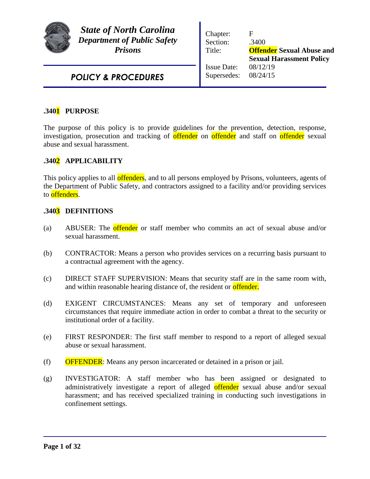

*State of North Carolina Department of Public Safety Prisons*

Chapter: F Section: .3400 Title: **Offender Sexual Abuse and Sexual Harassment Policy** Issue Date: 08/12/19 Supersedes: 08/24/15

*POLICY & PROCEDURES*

# **.3401 PURPOSE**

The purpose of this policy is to provide guidelines for the prevention, detection, response, investigation, prosecution and tracking of offender on offender and staff on offender sexual abuse and sexual harassment.

# **.3402 APPLICABILITY**

This policy applies to all **offenders**, and to all persons employed by Prisons, volunteers, agents of the Department of Public Safety, and contractors assigned to a facility and/or providing services to **offenders**.

### **.3403 DEFINITIONS**

- (a) ABUSER: The offender or staff member who commits an act of sexual abuse and/or sexual harassment.
- (b) CONTRACTOR: Means a person who provides services on a recurring basis pursuant to a contractual agreement with the agency.
- (c) DIRECT STAFF SUPERVISION: Means that security staff are in the same room with, and within reasonable hearing distance of, the resident or **offender.**
- (d) EXIGENT CIRCUMSTANCES: Means any set of temporary and unforeseen circumstances that require immediate action in order to combat a threat to the security or institutional order of a facility.
- (e) FIRST RESPONDER: The first staff member to respond to a report of alleged sexual abuse or sexual harassment.
- (f) OFFENDER: Means any person incarcerated or detained in a prison or jail.
- (g) INVESTIGATOR: A staff member who has been assigned or designated to administratively investigate a report of alleged offender sexual abuse and/or sexual harassment; and has received specialized training in conducting such investigations in confinement settings.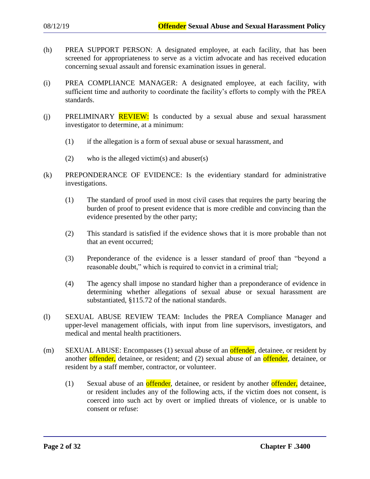- (h) PREA SUPPORT PERSON: A designated employee, at each facility, that has been screened for appropriateness to serve as a victim advocate and has received education concerning sexual assault and forensic examination issues in general.
- (i) PREA COMPLIANCE MANAGER: A designated employee, at each facility, with sufficient time and authority to coordinate the facility's efforts to comply with the PREA standards.
- (i) PRELIMINARY  $REVIEW:$  Is conducted by a sexual abuse and sexual harassment investigator to determine, at a minimum:
	- (1) if the allegation is a form of sexual abuse or sexual harassment, and
	- (2) who is the alleged victim(s) and abuser(s)
- (k) PREPONDERANCE OF EVIDENCE: Is the evidentiary standard for administrative investigations.
	- (1) The standard of proof used in most civil cases that requires the party bearing the burden of proof to present evidence that is more credible and convincing than the evidence presented by the other party;
	- (2) This standard is satisfied if the evidence shows that it is more probable than not that an event occurred;
	- (3) Preponderance of the evidence is a lesser standard of proof than "beyond a reasonable doubt," which is required to convict in a criminal trial;
	- (4) The agency shall impose no standard higher than a preponderance of evidence in determining whether allegations of sexual abuse or sexual harassment are substantiated, §115.72 of the national standards.
- (l) SEXUAL ABUSE REVIEW TEAM: Includes the PREA Compliance Manager and upper-level management officials, with input from line supervisors, investigators, and medical and mental health practitioners.
- (m) SEXUAL ABUSE: Encompasses (1) sexual abuse of an **offender**, detainee, or resident by another offender, detainee, or resident; and (2) sexual abuse of an offender, detainee, or resident by a staff member, contractor, or volunteer.
	- (1) Sexual abuse of an **offender**, detainee, or resident by another **offender**, detainee, or resident includes any of the following acts, if the victim does not consent, is coerced into such act by overt or implied threats of violence, or is unable to consent or refuse: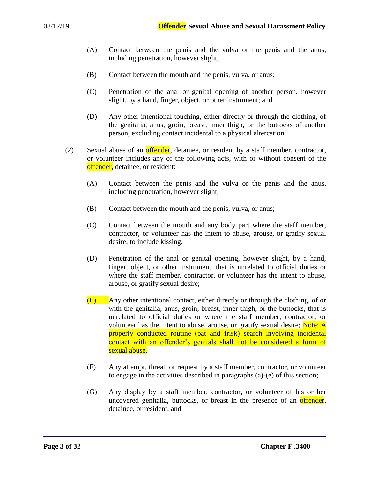- (A) Contact between the penis and the vulva or the penis and the anus, including penetration, however slight;
- (B) Contact between the mouth and the penis, vulva, or anus;
- (C) Penetration of the anal or genital opening of another person, however slight, by a hand, finger, object, or other instrument; and
- (D) Any other intentional touching, either directly or through the clothing, of the genitalia, anus, groin, breast, inner thigh, or the buttocks of another person, excluding contact incidental to a physical altercation.
- (2) Sexual abuse of an **offender**, detainee, or resident by a staff member, contractor, or volunteer includes any of the following acts, with or without consent of the offender, detainee, or resident:
	- (A) Contact between the penis and the vulva or the penis and the anus, including penetration, however slight;
	- (B) Contact between the mouth and the penis, vulva, or anus;
	- (C) Contact between the mouth and any body part where the staff member, contractor, or volunteer has the intent to abuse, arouse, or gratify sexual desire; to include kissing.
	- (D) Penetration of the anal or genital opening, however slight, by a hand, finger, object, or other instrument, that is unrelated to official duties or where the staff member, contractor, or volunteer has the intent to abuse, arouse, or gratify sexual desire;
	- (E) Any other intentional contact, either directly or through the clothing, of or with the genitalia, anus, groin, breast, inner thigh, or the buttocks, that is unrelated to official duties or where the staff member, contractor, or volunteer has the intent to abuse, arouse, or gratify sexual desire; Note: A properly conducted routine (pat and frisk) search involving incidental contact with an offender's genitals shall not be considered a form of sexual abuse.
	- (F) Any attempt, threat, or request by a staff member, contractor, or volunteer to engage in the activities described in paragraphs (a)-(e) of this section;
	- (G) Any display by a staff member, contractor, or volunteer of his or her uncovered genitalia, buttocks, or breast in the presence of an **offender**, detainee, or resident, and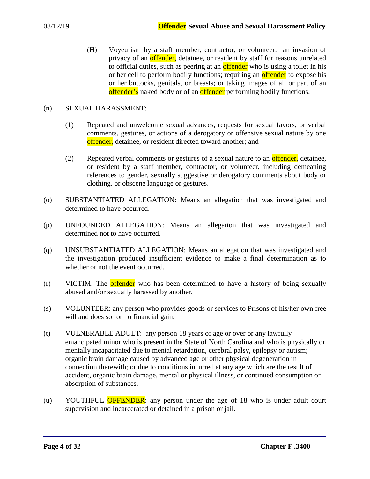(H) Voyeurism by a staff member, contractor, or volunteer: an invasion of privacy of an **offender**, detainee, or resident by staff for reasons unrelated to official duties, such as peering at an **offender** who is using a toilet in his or her cell to perform bodily functions; requiring an **offender** to expose his or her buttocks, genitals, or breasts; or taking images of all or part of an offender's naked body or of an offender performing bodily functions.

### (n) SEXUAL HARASSMENT:

- (1) Repeated and unwelcome sexual advances, requests for sexual favors, or verbal comments, gestures, or actions of a derogatory or offensive sexual nature by one offender, detainee, or resident directed toward another; and
- (2) Repeated verbal comments or gestures of a sexual nature to an offender, detainee, or resident by a staff member, contractor, or volunteer, including demeaning references to gender, sexually suggestive or derogatory comments about body or clothing, or obscene language or gestures.
- (o) SUBSTANTIATED ALLEGATION: Means an allegation that was investigated and determined to have occurred.
- (p) UNFOUNDED ALLEGATION: Means an allegation that was investigated and determined not to have occurred.
- (q) UNSUBSTANTIATED ALLEGATION: Means an allegation that was investigated and the investigation produced insufficient evidence to make a final determination as to whether or not the event occurred.
- (r) VICTIM: The offender who has been determined to have a history of being sexually abused and/or sexually harassed by another.
- (s) VOLUNTEER: any person who provides goods or services to Prisons of his/her own free will and does so for no financial gain.
- (t) VULNERABLE ADULT: any person 18 years of age or over or any lawfully emancipated minor who is present in the State of North Carolina and who is physically or mentally incapacitated due to mental retardation, cerebral palsy, epilepsy or autism; organic brain damage caused by advanced age or other physical degeneration in connection therewith; or due to conditions incurred at any age which are the result of accident, organic brain damage, mental or physical illness, or continued consumption or absorption of substances.
- (u) YOUTHFUL **OFFENDER**: any person under the age of 18 who is under adult court supervision and incarcerated or detained in a prison or jail.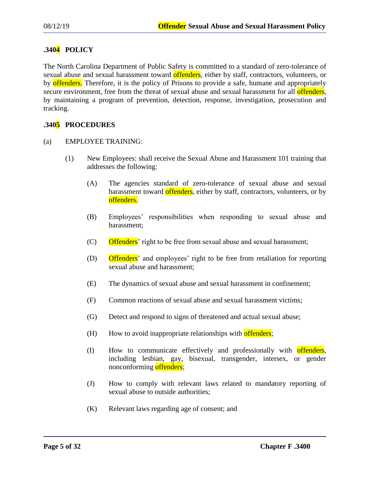# **.3404 POLICY**

The North Carolina Department of Public Safety is committed to a standard of zero-tolerance of sexual abuse and sexual harassment toward offenders, either by staff, contractors, volunteers, or by offenders. Therefore, it is the policy of Prisons to provide a safe, humane and appropriately secure environment, free from the threat of sexual abuse and sexual harassment for all **offenders**, by maintaining a program of prevention, detection, response, investigation, prosecution and tracking.

# **.3405 PROCEDURES**

### (a) EMPLOYEE TRAINING:

- (1) New Employees: shall receive the Sexual Abuse and Harassment 101 training that addresses the following:
	- (A) The agencies standard of zero-tolerance of sexual abuse and sexual harassment toward offenders, either by staff, contractors, volunteers, or by offenders.
	- (B) Employees' responsibilities when responding to sexual abuse and harassment;
	- (C) Offenders' right to be free from sexual abuse and sexual harassment;
	- (D) Offenders' and employees' right to be free from retaliation for reporting sexual abuse and harassment;
	- (E) The dynamics of sexual abuse and sexual harassment in confinement;
	- (F) Common reactions of sexual abuse and sexual harassment victims;
	- (G) Detect and respond to signs of threatened and actual sexual abuse;
	- $(H)$  How to avoid inappropriate relationships with offenders;
	- (I) How to communicate effectively and professionally with offenders, including lesbian, gay, bisexual, transgender, intersex, or gender nonconforming offenders;
	- (J) How to comply with relevant laws related to mandatory reporting of sexual abuse to outside authorities;
	- (K) Relevant laws regarding age of consent; and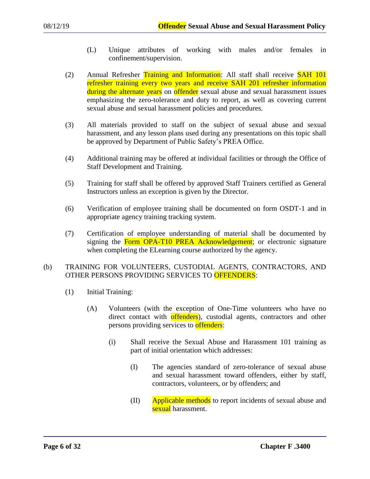- (L) Unique attributes of working with males and/or females in confinement/supervision.
- (2) Annual Refresher Training and Information: All staff shall receive **SAH 101** refresher training every two years and receive SAH 201 refresher information during the alternate years on offender sexual abuse and sexual harassment issues emphasizing the zero-tolerance and duty to report, as well as covering current sexual abuse and sexual harassment policies and procedures.
- (3) All materials provided to staff on the subject of sexual abuse and sexual harassment, and any lesson plans used during any presentations on this topic shall be approved by Department of Public Safety's PREA Office.
- (4) Additional training may be offered at individual facilities or through the Office of Staff Development and Training.
- (5) Training for staff shall be offered by approved Staff Trainers certified as General Instructors unless an exception is given by the Director.
- (6) Verification of employee training shall be documented on form OSDT-1 and in appropriate agency training tracking system.
- (7) Certification of employee understanding of material shall be documented by signing the Form OPA-T10 PREA Acknowledgement; or electronic signature when completing the ELearning course authorized by the agency.

## (b) TRAINING FOR VOLUNTEERS, CUSTODIAL AGENTS, CONTRACTORS, AND OTHER PERSONS PROVIDING SERVICES TO OFFENDERS:

- (1) Initial Training:
	- (A) Volunteers (with the exception of One-Time volunteers who have no direct contact with offenders), custodial agents, contractors and other persons providing services to offenders:
		- (i) Shall receive the Sexual Abuse and Harassment 101 training as part of initial orientation which addresses:
			- (I) The agencies standard of zero-tolerance of sexual abuse and sexual harassment toward offenders, either by staff, contractors, volunteers, or by offenders; and
			- (II) Applicable methods to report incidents of sexual abuse and sexual harassment.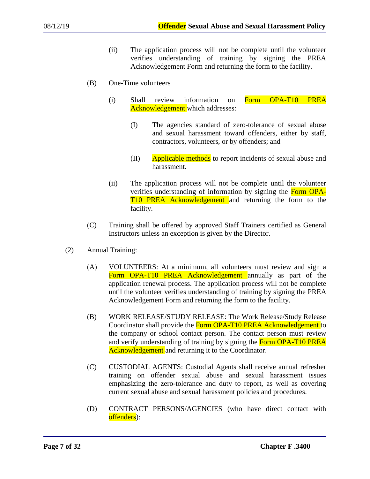- (ii) The application process will not be complete until the volunteer verifies understanding of training by signing the PREA Acknowledgement Form and returning the form to the facility.
- (B) One-Time volunteers
	- (i) Shall review information on Form OPA-T10 PREA Acknowledgement which addresses:
		- (I) The agencies standard of zero-tolerance of sexual abuse and sexual harassment toward offenders, either by staff, contractors, volunteers, or by offenders; and
		- (II) Applicable methods to report incidents of sexual abuse and harassment.
	- (ii) The application process will not be complete until the volunteer verifies understanding of information by signing the Form OPA-T10 PREA Acknowledgement and returning the form to the facility.
- (C) Training shall be offered by approved Staff Trainers certified as General Instructors unless an exception is given by the Director.
- (2) Annual Training:
	- (A) VOLUNTEERS: At a minimum, all volunteers must review and sign a Form OPA-T10 PREA Acknowledgement annually as part of the application renewal process. The application process will not be complete until the volunteer verifies understanding of training by signing the PREA Acknowledgement Form and returning the form to the facility.
	- (B) WORK RELEASE/STUDY RELEASE: The Work Release/Study Release Coordinator shall provide the **Form OPA-T10 PREA Acknowledgement** to the company or school contact person. The contact person must review and verify understanding of training by signing the Form OPA-T10 PREA Acknowledgement and returning it to the Coordinator.
	- (C) CUSTODIAL AGENTS: Custodial Agents shall receive annual refresher training on offender sexual abuse and sexual harassment issues emphasizing the zero-tolerance and duty to report, as well as covering current sexual abuse and sexual harassment policies and procedures.
	- (D) CONTRACT PERSONS/AGENCIES (who have direct contact with offenders):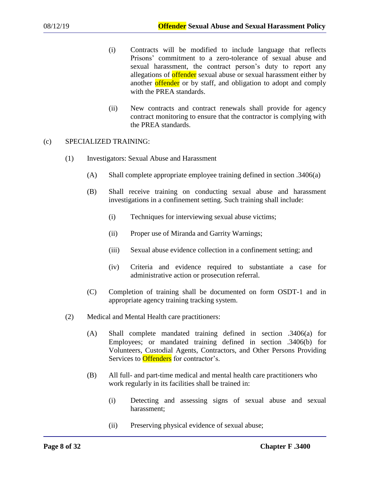- (i) Contracts will be modified to include language that reflects Prisons' commitment to a zero-tolerance of sexual abuse and sexual harassment, the contract person's duty to report any allegations of **offender** sexual abuse or sexual harassment either by another offender or by staff, and obligation to adopt and comply with the PREA standards.
- (ii) New contracts and contract renewals shall provide for agency contract monitoring to ensure that the contractor is complying with the PREA standards.

### (c) SPECIALIZED TRAINING:

- (1) Investigators: Sexual Abuse and Harassment
	- (A) Shall complete appropriate employee training defined in section .3406(a)
	- (B) Shall receive training on conducting sexual abuse and harassment investigations in a confinement setting. Such training shall include:
		- (i) Techniques for interviewing sexual abuse victims;
		- (ii) Proper use of Miranda and Garrity Warnings;
		- (iii) Sexual abuse evidence collection in a confinement setting; and
		- (iv) Criteria and evidence required to substantiate a case for administrative action or prosecution referral.
	- (C) Completion of training shall be documented on form OSDT-1 and in appropriate agency training tracking system.
- (2) Medical and Mental Health care practitioners:
	- (A) Shall complete mandated training defined in section .3406(a) for Employees; or mandated training defined in section .3406(b) for Volunteers, Custodial Agents, Contractors, and Other Persons Providing Services to **Offenders** for contractor's.
	- (B) All full- and part-time medical and mental health care practitioners who work regularly in its facilities shall be trained in:
		- (i) Detecting and assessing signs of sexual abuse and sexual harassment;
		- (ii) Preserving physical evidence of sexual abuse;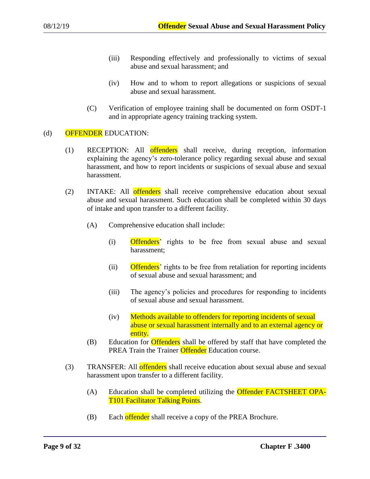- (iii) Responding effectively and professionally to victims of sexual abuse and sexual harassment; and
- (iv) How and to whom to report allegations or suspicions of sexual abuse and sexual harassment.
- (C) Verification of employee training shall be documented on form OSDT-1 and in appropriate agency training tracking system.

### (d) OFFENDER EDUCATION:

- (1) RECEPTION: All offenders shall receive, during reception, information explaining the agency's zero-tolerance policy regarding sexual abuse and sexual harassment, and how to report incidents or suspicions of sexual abuse and sexual harassment.
- (2) INTAKE: All offenders shall receive comprehensive education about sexual abuse and sexual harassment. Such education shall be completed within 30 days of intake and upon transfer to a different facility.
	- (A) Comprehensive education shall include:
		- (i) Offenders' rights to be free from sexual abuse and sexual harassment;
		- (ii) Offenders' rights to be free from retaliation for reporting incidents of sexual abuse and sexual harassment; and
		- (iii) The agency's policies and procedures for responding to incidents of sexual abuse and sexual harassment.
		- (iv) Methods available to offenders for reporting incidents of sexual abuse or sexual harassment internally and to an external agency or entity.
	- (B) Education for **Offenders** shall be offered by staff that have completed the PREA Train the Trainer Offender Education course.
- (3) TRANSFER: All offenders shall receive education about sexual abuse and sexual harassment upon transfer to a different facility.
	- (A) Education shall be completed utilizing the Offender FACTSHEET OPA-T101 Facilitator Talking Points.
	- (B) Each offender shall receive a copy of the PREA Brochure.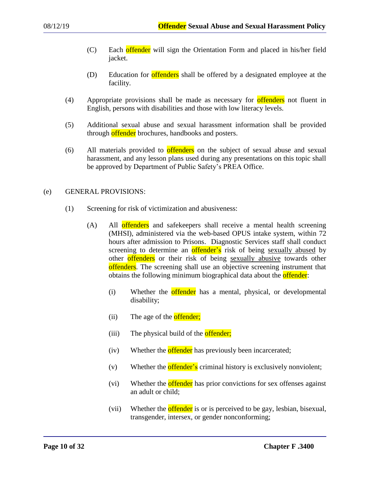- (C) Each offender will sign the Orientation Form and placed in his/her field jacket.
- (D) Education for **offenders** shall be offered by a designated employee at the facility.
- (4) Appropriate provisions shall be made as necessary for **offenders** not fluent in English, persons with disabilities and those with low literacy levels.
- (5) Additional sexual abuse and sexual harassment information shall be provided through offender brochures, handbooks and posters.
- (6) All materials provided to offenders on the subject of sexual abuse and sexual harassment, and any lesson plans used during any presentations on this topic shall be approved by Department of Public Safety's PREA Office.

### (e) GENERAL PROVISIONS:

- (1) Screening for risk of victimization and abusiveness:
	- (A) All offenders and safekeepers shall receive a mental health screening (MHSI), administered via the web-based OPUS intake system, within 72 hours after admission to Prisons. Diagnostic Services staff shall conduct screening to determine an offender's risk of being sexually abused by other offenders or their risk of being sexually abusive towards other offenders. The screening shall use an objective screening instrument that obtains the following minimum biographical data about the **offender**:
		- (i) Whether the **offender** has a mental, physical, or developmental disability;
		- (ii) The age of the **offender;**
		- (iii) The physical build of the **offender;**
		- (iv) Whether the **offender** has previously been incarcerated;
		- (v) Whether the **offender's** criminal history is exclusively nonviolent;
		- (vi) Whether the **offender** has prior convictions for sex offenses against an adult or child;
		- (vii) Whether the **offender** is or is perceived to be gay, lesbian, bisexual, transgender, intersex, or gender nonconforming;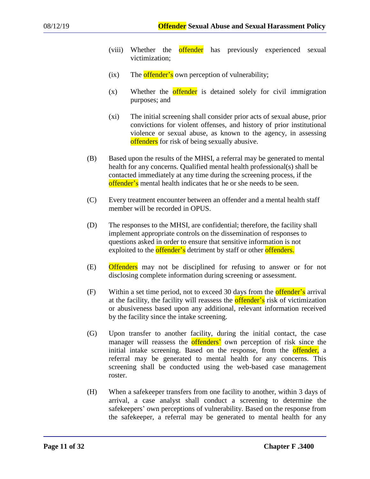- (viii) Whether the **offender** has previously experienced sexual victimization;
- $(ix)$  The offender's own perception of vulnerability;
- $(x)$  Whether the **offender** is detained solely for civil immigration purposes; and
- (xi) The initial screening shall consider prior acts of sexual abuse, prior convictions for violent offenses, and history of prior institutional violence or sexual abuse, as known to the agency, in assessing offenders for risk of being sexually abusive.
- (B) Based upon the results of the MHSI, a referral may be generated to mental health for any concerns. Qualified mental health professional(s) shall be contacted immediately at any time during the screening process, if the offender's mental health indicates that he or she needs to be seen.
- (C) Every treatment encounter between an offender and a mental health staff member will be recorded in OPUS.
- (D) The responses to the MHSI, are confidential; therefore, the facility shall implement appropriate controls on the dissemination of responses to questions asked in order to ensure that sensitive information is not exploited to the **offender's** detriment by staff or other **offenders**.
- (E) Offenders may not be disciplined for refusing to answer or for not disclosing complete information during screening or assessment.
- $(F)$  Within a set time period, not to exceed 30 days from the **offender's** arrival at the facility, the facility will reassess the **offender's** risk of victimization or abusiveness based upon any additional, relevant information received by the facility since the intake screening.
- (G) Upon transfer to another facility, during the initial contact, the case manager will reassess the **offenders'** own perception of risk since the initial intake screening. Based on the response, from the **offender**, a referral may be generated to mental health for any concerns. This screening shall be conducted using the web-based case management roster.
- (H) When a safekeeper transfers from one facility to another, within 3 days of arrival, a case analyst shall conduct a screening to determine the safekeepers' own perceptions of vulnerability. Based on the response from the safekeeper, a referral may be generated to mental health for any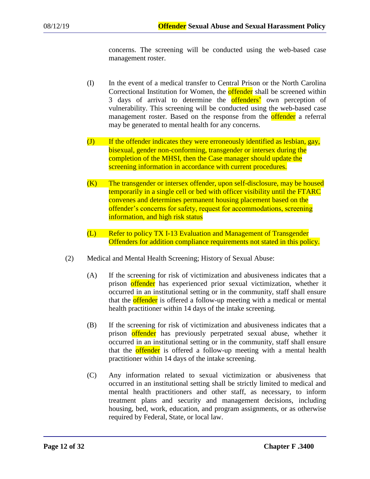concerns. The screening will be conducted using the web-based case management roster.

- (I) In the event of a medical transfer to Central Prison or the North Carolina Correctional Institution for Women, the **offender** shall be screened within 3 days of arrival to determine the **offenders** own perception of vulnerability. This screening will be conducted using the web-based case management roster. Based on the response from the **offender** a referral may be generated to mental health for any concerns.
- (J) If the offender indicates they were erroneously identified as lesbian, gay, bisexual, gender non-conforming, transgender or intersex during the completion of the MHSI, then the Case manager should update the screening information in accordance with current procedures.
- (K) The transgender or intersex offender, upon self-disclosure, may be housed temporarily in a single cell or bed with officer visibility until the FTARC convenes and determines permanent housing placement based on the offender's concerns for safety, request for accommodations, screening information, and high risk status
- (L) Refer to policy TX I-13 Evaluation and Management of Transgender Offenders for addition compliance requirements not stated in this policy.
- (2) Medical and Mental Health Screening; History of Sexual Abuse:
	- (A) If the screening for risk of victimization and abusiveness indicates that a prison offender has experienced prior sexual victimization, whether it occurred in an institutional setting or in the community, staff shall ensure that the **offender** is offered a follow-up meeting with a medical or mental health practitioner within 14 days of the intake screening.
	- (B) If the screening for risk of victimization and abusiveness indicates that a prison offender has previously perpetrated sexual abuse, whether it occurred in an institutional setting or in the community, staff shall ensure that the **offender** is offered a follow-up meeting with a mental health practitioner within 14 days of the intake screening.
	- (C) Any information related to sexual victimization or abusiveness that occurred in an institutional setting shall be strictly limited to medical and mental health practitioners and other staff, as necessary, to inform treatment plans and security and management decisions, including housing, bed, work, education, and program assignments, or as otherwise required by Federal, State, or local law.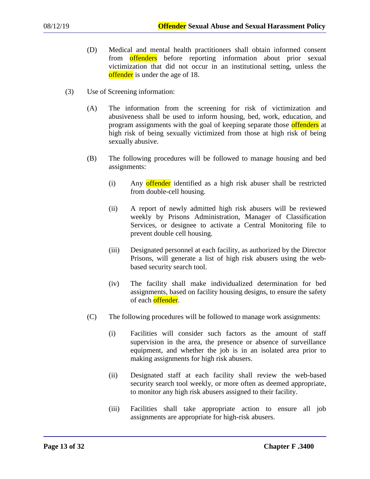- (D) Medical and mental health practitioners shall obtain informed consent from offenders before reporting information about prior sexual victimization that did not occur in an institutional setting, unless the offender is under the age of 18.
- (3) Use of Screening information:
	- (A) The information from the screening for risk of victimization and abusiveness shall be used to inform housing, bed, work, education, and program assignments with the goal of keeping separate those offenders at high risk of being sexually victimized from those at high risk of being sexually abusive.
	- (B) The following procedures will be followed to manage housing and bed assignments:
		- (i) Any offender identified as a high risk abuser shall be restricted from double-cell housing.
		- (ii) A report of newly admitted high risk abusers will be reviewed weekly by Prisons Administration, Manager of Classification Services, or designee to activate a Central Monitoring file to prevent double cell housing.
		- (iii) Designated personnel at each facility, as authorized by the Director Prisons, will generate a list of high risk abusers using the webbased security search tool.
		- (iv) The facility shall make individualized determination for bed assignments, based on facility housing designs, to ensure the safety of each offender.
	- (C) The following procedures will be followed to manage work assignments:
		- (i) Facilities will consider such factors as the amount of staff supervision in the area, the presence or absence of surveillance equipment, and whether the job is in an isolated area prior to making assignments for high risk abusers.
		- (ii) Designated staff at each facility shall review the web-based security search tool weekly, or more often as deemed appropriate, to monitor any high risk abusers assigned to their facility.
		- (iii) Facilities shall take appropriate action to ensure all job assignments are appropriate for high-risk abusers.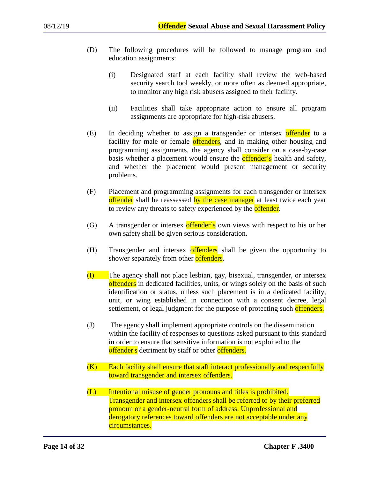- (D) The following procedures will be followed to manage program and education assignments:
	- (i) Designated staff at each facility shall review the web-based security search tool weekly, or more often as deemed appropriate, to monitor any high risk abusers assigned to their facility.
	- (ii) Facilities shall take appropriate action to ensure all program assignments are appropriate for high-risk abusers.
- (E) In deciding whether to assign a transgender or intersex offender to a facility for male or female offenders, and in making other housing and programming assignments, the agency shall consider on a case-by-case basis whether a placement would ensure the **offender's** health and safety, and whether the placement would present management or security problems.
- (F) Placement and programming assignments for each transgender or intersex offender shall be reassessed by the case manager at least twice each year to review any threats to safety experienced by the **offender**.
- (G) A transgender or intersex offender's own views with respect to his or her own safety shall be given serious consideration.
- (H) Transgender and intersex offenders shall be given the opportunity to shower separately from other **offenders**.
- (I) The agency shall not place lesbian, gay, bisexual, transgender, or intersex offenders in dedicated facilities, units, or wings solely on the basis of such identification or status, unless such placement is in a dedicated facility, unit, or wing established in connection with a consent decree, legal settlement, or legal judgment for the purpose of protecting such offenders.
- (J) The agency shall implement appropriate controls on the dissemination within the facility of responses to questions asked pursuant to this standard in order to ensure that sensitive information is not exploited to the offender's detriment by staff or other offenders.
- $(K)$  Each facility shall ensure that staff interact professionally and respectfully toward transgender and intersex offenders.
- (L) Intentional misuse of gender pronouns and titles is prohibited. Transgender and intersex offenders shall be referred to by their preferred pronoun or a gender-neutral form of address. Unprofessional and derogatory references toward offenders are not acceptable under any circumstances.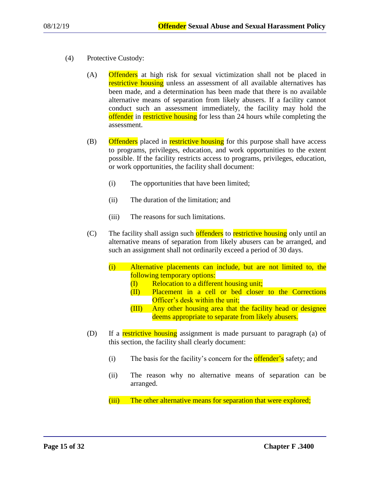- (4) Protective Custody:
	- (A) Offenders at high risk for sexual victimization shall not be placed in restrictive housing unless an assessment of all available alternatives has been made, and a determination has been made that there is no available alternative means of separation from likely abusers. If a facility cannot conduct such an assessment immediately, the facility may hold the offender in restrictive housing for less than 24 hours while completing the assessment.
	- (B) Offenders placed in restrictive housing for this purpose shall have access to programs, privileges, education, and work opportunities to the extent possible. If the facility restricts access to programs, privileges, education, or work opportunities, the facility shall document:
		- (i) The opportunities that have been limited;
		- (ii) The duration of the limitation; and
		- (iii) The reasons for such limitations.
	- (C) The facility shall assign such offenders to restrictive housing only until an alternative means of separation from likely abusers can be arranged, and such an assignment shall not ordinarily exceed a period of 30 days.
		- (i) Alternative placements can include, but are not limited to, the following temporary options:
			- $(I)$  Relocation to a different housing unit;
			- (II) Placement in a cell or bed closer to the Corrections Officer's desk within the unit;
			- (III) Any other housing area that the facility head or designee deems appropriate to separate from likely abusers.
	- (D) If a restrictive housing assignment is made pursuant to paragraph (a) of this section, the facility shall clearly document:
		- (i) The basis for the facility's concern for the **offender's** safety; and
		- (ii) The reason why no alternative means of separation can be arranged.
		- (iii) The other alternative means for separation that were explored;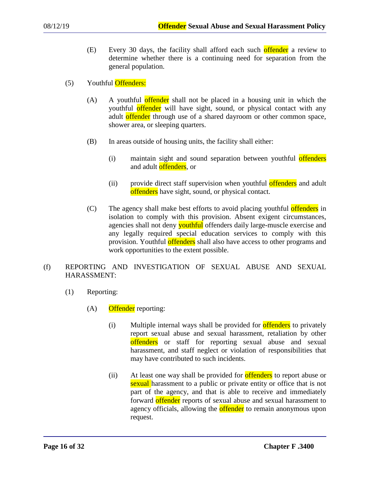- (E) Every 30 days, the facility shall afford each such offender a review to determine whether there is a continuing need for separation from the general population.
- (5) Youthful Offenders:
	- (A) A youthful offender shall not be placed in a housing unit in which the youthful offender will have sight, sound, or physical contact with any adult offender through use of a shared dayroom or other common space, shower area, or sleeping quarters.
	- (B) In areas outside of housing units, the facility shall either:
		- (i) maintain sight and sound separation between youthful offenders and adult offenders, or
		- (ii) provide direct staff supervision when youthful **offenders** and adult offenders have sight, sound, or physical contact.
	- (C) The agency shall make best efforts to avoid placing youthful **offenders** in isolation to comply with this provision. Absent exigent circumstances, agencies shall not deny **youthful** offenders daily large-muscle exercise and any legally required special education services to comply with this provision. Youthful offenders shall also have access to other programs and work opportunities to the extent possible.

# (f) REPORTING AND INVESTIGATION OF SEXUAL ABUSE AND SEXUAL HARASSMENT:

- (1) Reporting:
	- $(A)$  Offender reporting:
		- (i) Multiple internal ways shall be provided for **offenders** to privately report sexual abuse and sexual harassment, retaliation by other offenders or staff for reporting sexual abuse and sexual harassment, and staff neglect or violation of responsibilities that may have contributed to such incidents.
		- (ii) At least one way shall be provided for **offenders** to report abuse or sexual harassment to a public or private entity or office that is not part of the agency, and that is able to receive and immediately forward offender reports of sexual abuse and sexual harassment to agency officials, allowing the **offender** to remain anonymous upon request.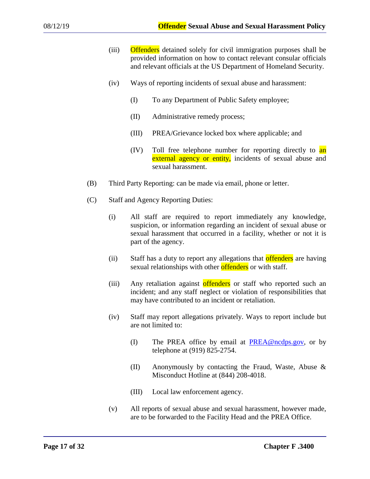- (iii) Offenders detained solely for civil immigration purposes shall be provided information on how to contact relevant consular officials and relevant officials at the US Department of Homeland Security.
- (iv) Ways of reporting incidents of sexual abuse and harassment:
	- (I) To any Department of Public Safety employee;
	- (II) Administrative remedy process;
	- (III) PREA/Grievance locked box where applicable; and
	- (IV) Toll free telephone number for reporting directly to an external agency or entity, incidents of sexual abuse and sexual harassment.
- (B) Third Party Reporting: can be made via email, phone or letter.
- (C) Staff and Agency Reporting Duties:
	- (i) All staff are required to report immediately any knowledge, suspicion, or information regarding an incident of sexual abuse or sexual harassment that occurred in a facility, whether or not it is part of the agency.
	- (ii) Staff has a duty to report any allegations that offenders are having sexual relationships with other offenders or with staff.
	- (iii) Any retaliation against offenders or staff who reported such an incident; and any staff neglect or violation of responsibilities that may have contributed to an incident or retaliation.
	- (iv) Staff may report allegations privately. Ways to report include but are not limited to:
		- (I) The PREA office by email at  $PREA@ncdps.gov$ , or by telephone at (919) 825-2754.
		- (II) Anonymously by contacting the Fraud, Waste, Abuse & Misconduct Hotline at (844) 208-4018.
		- (III) Local law enforcement agency.
	- (v) All reports of sexual abuse and sexual harassment, however made, are to be forwarded to the Facility Head and the PREA Office.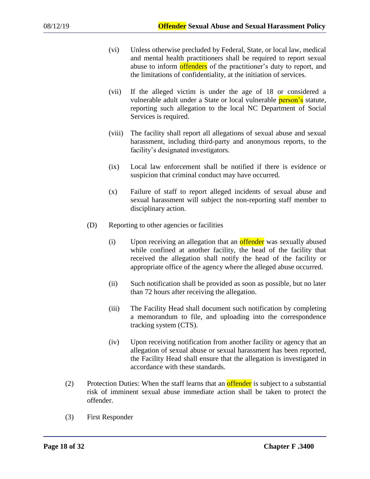- (vi) Unless otherwise precluded by Federal, State, or local law, medical and mental health practitioners shall be required to report sexual abuse to inform offenders of the practitioner's duty to report, and the limitations of confidentiality, at the initiation of services.
- (vii) If the alleged victim is under the age of 18 or considered a vulnerable adult under a State or local vulnerable **person's** statute, reporting such allegation to the local NC Department of Social Services is required.
- (viii) The facility shall report all allegations of sexual abuse and sexual harassment, including third-party and anonymous reports, to the facility's designated investigators.
- (ix) Local law enforcement shall be notified if there is evidence or suspicion that criminal conduct may have occurred.
- (x) Failure of staff to report alleged incidents of sexual abuse and sexual harassment will subject the non-reporting staff member to disciplinary action.
- (D) Reporting to other agencies or facilities
	- (i) Upon receiving an allegation that an **offender** was sexually abused while confined at another facility, the head of the facility that received the allegation shall notify the head of the facility or appropriate office of the agency where the alleged abuse occurred.
	- (ii) Such notification shall be provided as soon as possible, but no later than 72 hours after receiving the allegation.
	- (iii) The Facility Head shall document such notification by completing a memorandum to file, and uploading into the correspondence tracking system (CTS).
	- (iv) Upon receiving notification from another facility or agency that an allegation of sexual abuse or sexual harassment has been reported, the Facility Head shall ensure that the allegation is investigated in accordance with these standards.
- (2) Protection Duties: When the staff learns that an **offender** is subject to a substantial risk of imminent sexual abuse immediate action shall be taken to protect the offender.
- (3) First Responder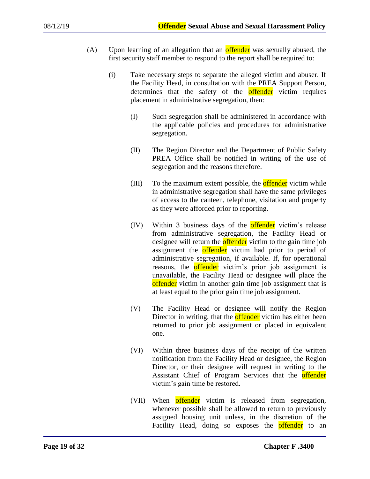- (A) Upon learning of an allegation that an **offender** was sexually abused, the first security staff member to respond to the report shall be required to:
	- (i) Take necessary steps to separate the alleged victim and abuser. If the Facility Head, in consultation with the PREA Support Person, determines that the safety of the **offender** victim requires placement in administrative segregation, then:
		- (I) Such segregation shall be administered in accordance with the applicable policies and procedures for administrative segregation.
		- (II) The Region Director and the Department of Public Safety PREA Office shall be notified in writing of the use of segregation and the reasons therefore.
		- (III) To the maximum extent possible, the **offender** victim while in administrative segregation shall have the same privileges of access to the canteen, telephone, visitation and property as they were afforded prior to reporting.
		- (IV) Within 3 business days of the offender victim's release from administrative segregation, the Facility Head or designee will return the **offender** victim to the gain time job assignment the **offender** victim had prior to period of administrative segregation, if available. If, for operational reasons, the **offender** victim's prior job assignment is unavailable, the Facility Head or designee will place the offender victim in another gain time job assignment that is at least equal to the prior gain time job assignment.
		- (V) The Facility Head or designee will notify the Region Director in writing, that the **offender** victim has either been returned to prior job assignment or placed in equivalent one.
		- (VI) Within three business days of the receipt of the written notification from the Facility Head or designee, the Region Director, or their designee will request in writing to the Assistant Chief of Program Services that the **offender** victim's gain time be restored.
		- (VII) When offender victim is released from segregation, whenever possible shall be allowed to return to previously assigned housing unit unless, in the discretion of the Facility Head, doing so exposes the **offender** to an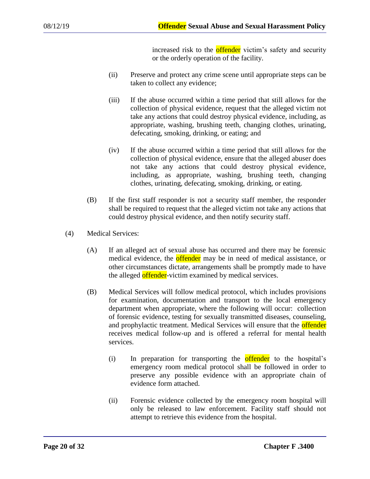increased risk to the **offender** victim's safety and security or the orderly operation of the facility.

- (ii) Preserve and protect any crime scene until appropriate steps can be taken to collect any evidence;
- (iii) If the abuse occurred within a time period that still allows for the collection of physical evidence, request that the alleged victim not take any actions that could destroy physical evidence, including, as appropriate, washing, brushing teeth, changing clothes, urinating, defecating, smoking, drinking, or eating; and
- (iv) If the abuse occurred within a time period that still allows for the collection of physical evidence, ensure that the alleged abuser does not take any actions that could destroy physical evidence, including, as appropriate, washing, brushing teeth, changing clothes, urinating, defecating, smoking, drinking, or eating.
- (B) If the first staff responder is not a security staff member, the responder shall be required to request that the alleged victim not take any actions that could destroy physical evidence, and then notify security staff.
- (4) Medical Services:
	- (A) If an alleged act of sexual abuse has occurred and there may be forensic medical evidence, the **offender** may be in need of medical assistance, or other circumstances dictate, arrangements shall be promptly made to have the alleged offender-victim examined by medical services.
	- (B) Medical Services will follow medical protocol, which includes provisions for examination, documentation and transport to the local emergency department when appropriate, where the following will occur: collection of forensic evidence, testing for sexually transmitted diseases, counseling, and prophylactic treatment. Medical Services will ensure that the **offender** receives medical follow-up and is offered a referral for mental health services.
		- (i) In preparation for transporting the offender to the hospital's emergency room medical protocol shall be followed in order to preserve any possible evidence with an appropriate chain of evidence form attached.
		- (ii) Forensic evidence collected by the emergency room hospital will only be released to law enforcement. Facility staff should not attempt to retrieve this evidence from the hospital.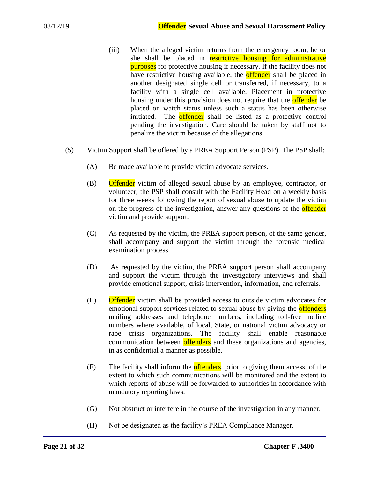- (iii) When the alleged victim returns from the emergency room, he or she shall be placed in restrictive housing for administrative **purposes** for protective housing if necessary. If the facility does not have restrictive housing available, the **offender** shall be placed in another designated single cell or transferred, if necessary, to a facility with a single cell available. Placement in protective housing under this provision does not require that the **offender** be placed on watch status unless such a status has been otherwise initiated. The **offender** shall be listed as a protective control pending the investigation. Care should be taken by staff not to penalize the victim because of the allegations.
- (5) Victim Support shall be offered by a PREA Support Person (PSP). The PSP shall:
	- (A) Be made available to provide victim advocate services.
	- (B) Offender victim of alleged sexual abuse by an employee, contractor, or volunteer, the PSP shall consult with the Facility Head on a weekly basis for three weeks following the report of sexual abuse to update the victim on the progress of the investigation, answer any questions of the **offender** victim and provide support.
	- (C) As requested by the victim, the PREA support person, of the same gender, shall accompany and support the victim through the forensic medical examination process.
	- (D) As requested by the victim, the PREA support person shall accompany and support the victim through the investigatory interviews and shall provide emotional support, crisis intervention, information, and referrals.
	- (E) Offender victim shall be provided access to outside victim advocates for emotional support services related to sexual abuse by giving the **offenders** mailing addresses and telephone numbers, including toll-free hotline numbers where available, of local, State, or national victim advocacy or rape crisis organizations. The facility shall enable reasonable communication between offenders and these organizations and agencies, in as confidential a manner as possible.
	- $(F)$  The facility shall inform the **offenders**, prior to giving them access, of the extent to which such communications will be monitored and the extent to which reports of abuse will be forwarded to authorities in accordance with mandatory reporting laws.
	- (G) Not obstruct or interfere in the course of the investigation in any manner.
	- (H) Not be designated as the facility's PREA Compliance Manager.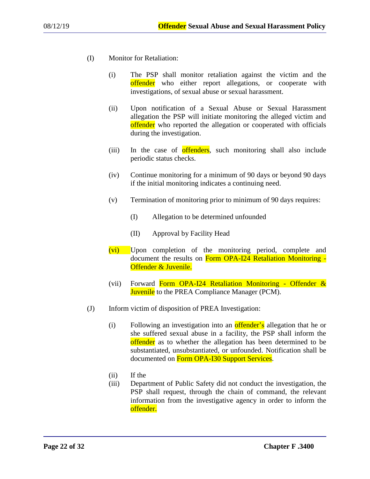- (I) Monitor for Retaliation:
	- (i) The PSP shall monitor retaliation against the victim and the offender who either report allegations, or cooperate with investigations, of sexual abuse or sexual harassment.
	- (ii) Upon notification of a Sexual Abuse or Sexual Harassment allegation the PSP will initiate monitoring the alleged victim and offender who reported the allegation or cooperated with officials during the investigation.
	- (iii) In the case of **offenders**, such monitoring shall also include periodic status checks.
	- (iv) Continue monitoring for a minimum of 90 days or beyond 90 days if the initial monitoring indicates a continuing need.
	- (v) Termination of monitoring prior to minimum of 90 days requires:
		- (I) Allegation to be determined unfounded
		- (II) Approval by Facility Head
	- (vi) Upon completion of the monitoring period, complete and document the results on Form OPA-I24 Retaliation Monitoring -Offender & Juvenile.
	- (vii) Forward Form OPA-I24 Retaliation Monitoring Offender  $\&$ **Juvenile** to the PREA Compliance Manager (PCM).
- (J) Inform victim of disposition of PREA Investigation:
	- (i) Following an investigation into an **offender's** allegation that he or she suffered sexual abuse in a facility, the PSP shall inform the offender as to whether the allegation has been determined to be substantiated, unsubstantiated, or unfounded. Notification shall be documented on Form OPA-I30 Support Services.
	- (ii) If the
	- (iii) Department of Public Safety did not conduct the investigation, the PSP shall request, through the chain of command, the relevant information from the investigative agency in order to inform the offender.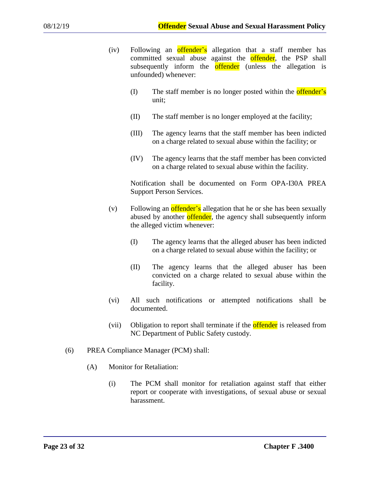- (iv) Following an **offender's** allegation that a staff member has committed sexual abuse against the **offender**, the PSP shall subsequently inform the **offender** (unless the allegation is unfounded) whenever:
	- $(I)$  The staff member is no longer posted within the **offender's** unit;
	- (II) The staff member is no longer employed at the facility;
	- (III) The agency learns that the staff member has been indicted on a charge related to sexual abuse within the facility; or
	- (IV) The agency learns that the staff member has been convicted on a charge related to sexual abuse within the facility.

Notification shall be documented on Form OPA-I30A PREA Support Person Services.

- (v) Following an **offender's** allegation that he or she has been sexually abused by another offender, the agency shall subsequently inform the alleged victim whenever:
	- (I) The agency learns that the alleged abuser has been indicted on a charge related to sexual abuse within the facility; or
	- (II) The agency learns that the alleged abuser has been convicted on a charge related to sexual abuse within the facility.
- (vi) All such notifications or attempted notifications shall be documented.
- (vii) Obligation to report shall terminate if the **offender** is released from NC Department of Public Safety custody.
- (6) PREA Compliance Manager (PCM) shall:
	- (A) Monitor for Retaliation:
		- (i) The PCM shall monitor for retaliation against staff that either report or cooperate with investigations, of sexual abuse or sexual harassment.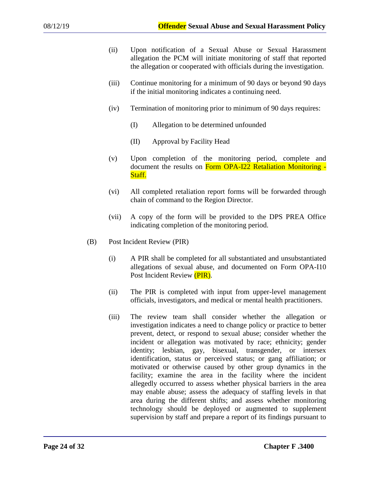- (ii) Upon notification of a Sexual Abuse or Sexual Harassment allegation the PCM will initiate monitoring of staff that reported the allegation or cooperated with officials during the investigation.
- (iii) Continue monitoring for a minimum of 90 days or beyond 90 days if the initial monitoring indicates a continuing need.
- (iv) Termination of monitoring prior to minimum of 90 days requires:
	- (I) Allegation to be determined unfounded
	- (II) Approval by Facility Head
- (v) Upon completion of the monitoring period, complete and document the results on Form OPA-I22 Retaliation Monitoring -Staff.
- (vi) All completed retaliation report forms will be forwarded through chain of command to the Region Director.
- (vii) A copy of the form will be provided to the DPS PREA Office indicating completion of the monitoring period.
- (B) Post Incident Review (PIR)
	- (i) A PIR shall be completed for all substantiated and unsubstantiated allegations of sexual abuse, and documented on Form OPA-I10 Post Incident Review (PIR).
	- (ii) The PIR is completed with input from upper-level management officials, investigators, and medical or mental health practitioners.
	- (iii) The review team shall consider whether the allegation or investigation indicates a need to change policy or practice to better prevent, detect, or respond to sexual abuse; consider whether the incident or allegation was motivated by race; ethnicity; gender identity; lesbian, gay, bisexual, transgender, or intersex identification, status or perceived status; or gang affiliation; or motivated or otherwise caused by other group dynamics in the facility; examine the area in the facility where the incident allegedly occurred to assess whether physical barriers in the area may enable abuse; assess the adequacy of staffing levels in that area during the different shifts; and assess whether monitoring technology should be deployed or augmented to supplement supervision by staff and prepare a report of its findings pursuant to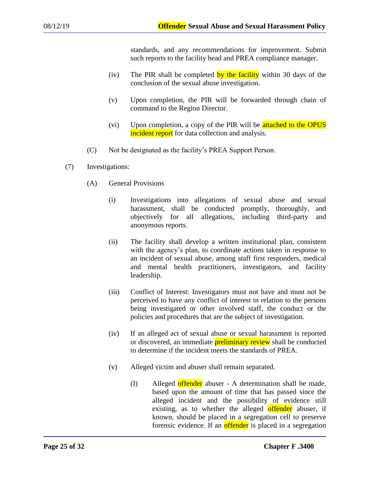standards, and any recommendations for improvement. Submit such reports to the facility head and PREA compliance manager.

- (iv) The PIR shall be completed by the facility within 30 days of the conclusion of the sexual abuse investigation.
- (v) Upon completion, the PIR will be forwarded through chain of command to the Region Director.
- (vi) Upon completion, a copy of the PIR will be attached to the OPUS incident report for data collection and analysis.
- (C) Not be designated as the facility's PREA Support Person.
- (7) Investigations:
	- (A) General Provisions
		- (i) Investigations into allegations of sexual abuse and sexual harassment, shall be conducted promptly, thoroughly, and objectively for all allegations, including third-party and anonymous reports.
		- (ii) The facility shall develop a written institutional plan, consistent with the agency's plan, to coordinate actions taken in response to an incident of sexual abuse, among staff first responders, medical and mental health practitioners, investigators, and facility leadership.
		- (iii) Conflict of Interest: Investigators must not have and must not be perceived to have any conflict of interest in relation to the persons being investigated or other involved staff, the conduct or the policies and procedures that are the subject of investigation.
		- (iv) If an alleged act of sexual abuse or sexual harassment is reported or discovered, an immediate **preliminary review** shall be conducted to determine if the incident meets the standards of PREA.
		- (v) Alleged victim and abuser shall remain separated.
			- (I) Alleged offender abuser A determination shall be made, based upon the amount of time that has passed since the alleged incident and the possibility of evidence still existing, as to whether the alleged offender abuser, if known, should be placed in a segregation cell to preserve forensic evidence. If an offender is placed in a segregation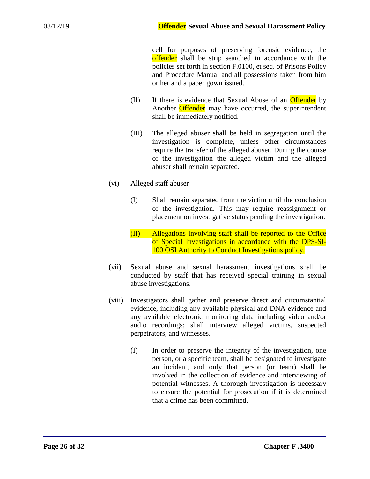cell for purposes of preserving forensic evidence, the offender shall be strip searched in accordance with the policies set forth in section F.0100, et seq. of Prisons Policy and Procedure Manual and all possessions taken from him or her and a paper gown issued.

- (II) If there is evidence that Sexual Abuse of an Offender by Another **Offender** may have occurred, the superintendent shall be immediately notified.
- (III) The alleged abuser shall be held in segregation until the investigation is complete, unless other circumstances require the transfer of the alleged abuser. During the course of the investigation the alleged victim and the alleged abuser shall remain separated.
- (vi) Alleged staff abuser
	- (I) Shall remain separated from the victim until the conclusion of the investigation. This may require reassignment or placement on investigative status pending the investigation.
	- (II) Allegations involving staff shall be reported to the Office of Special Investigations in accordance with the DPS-SI-100 OSI Authority to Conduct Investigations policy.
- (vii) Sexual abuse and sexual harassment investigations shall be conducted by staff that has received special training in sexual abuse investigations.
- (viii) Investigators shall gather and preserve direct and circumstantial evidence, including any available physical and DNA evidence and any available electronic monitoring data including video and/or audio recordings; shall interview alleged victims, suspected perpetrators, and witnesses.
	- (I) In order to preserve the integrity of the investigation, one person, or a specific team, shall be designated to investigate an incident, and only that person (or team) shall be involved in the collection of evidence and interviewing of potential witnesses. A thorough investigation is necessary to ensure the potential for prosecution if it is determined that a crime has been committed.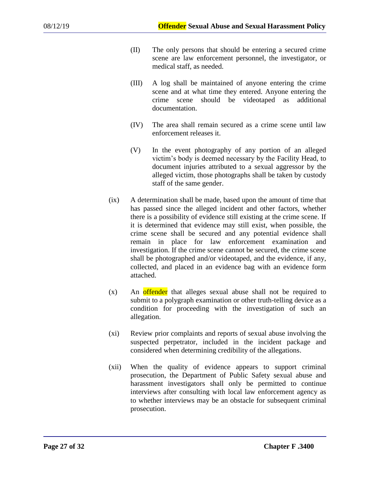- (II) The only persons that should be entering a secured crime scene are law enforcement personnel, the investigator, or medical staff, as needed.
- (III) A log shall be maintained of anyone entering the crime scene and at what time they entered. Anyone entering the crime scene should be videotaped as additional documentation.
- (IV) The area shall remain secured as a crime scene until law enforcement releases it.
- (V) In the event photography of any portion of an alleged victim's body is deemed necessary by the Facility Head, to document injuries attributed to a sexual aggressor by the alleged victim, those photographs shall be taken by custody staff of the same gender.
- (ix) A determination shall be made, based upon the amount of time that has passed since the alleged incident and other factors, whether there is a possibility of evidence still existing at the crime scene. If it is determined that evidence may still exist, when possible, the crime scene shall be secured and any potential evidence shall remain in place for law enforcement examination and investigation. If the crime scene cannot be secured, the crime scene shall be photographed and/or videotaped, and the evidence, if any, collected, and placed in an evidence bag with an evidence form attached.
- (x) An offender that alleges sexual abuse shall not be required to submit to a polygraph examination or other truth-telling device as a condition for proceeding with the investigation of such an allegation.
- (xi) Review prior complaints and reports of sexual abuse involving the suspected perpetrator, included in the incident package and considered when determining credibility of the allegations.
- (xii) When the quality of evidence appears to support criminal prosecution, the Department of Public Safety sexual abuse and harassment investigators shall only be permitted to continue interviews after consulting with local law enforcement agency as to whether interviews may be an obstacle for subsequent criminal prosecution.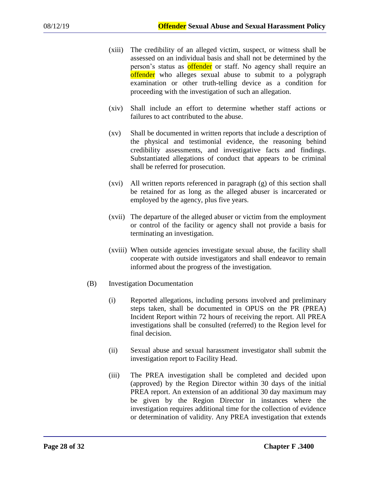- (xiii) The credibility of an alleged victim, suspect, or witness shall be assessed on an individual basis and shall not be determined by the person's status as offender or staff. No agency shall require an offender who alleges sexual abuse to submit to a polygraph examination or other truth-telling device as a condition for proceeding with the investigation of such an allegation.
- (xiv) Shall include an effort to determine whether staff actions or failures to act contributed to the abuse.
- (xv) Shall be documented in written reports that include a description of the physical and testimonial evidence, the reasoning behind credibility assessments, and investigative facts and findings. Substantiated allegations of conduct that appears to be criminal shall be referred for prosecution.
- (xvi) All written reports referenced in paragraph (g) of this section shall be retained for as long as the alleged abuser is incarcerated or employed by the agency, plus five years.
- (xvii) The departure of the alleged abuser or victim from the employment or control of the facility or agency shall not provide a basis for terminating an investigation.
- (xviii) When outside agencies investigate sexual abuse, the facility shall cooperate with outside investigators and shall endeavor to remain informed about the progress of the investigation.
- (B) Investigation Documentation
	- (i) Reported allegations, including persons involved and preliminary steps taken, shall be documented in OPUS on the PR (PREA) Incident Report within 72 hours of receiving the report. All PREA investigations shall be consulted (referred) to the Region level for final decision.
	- (ii) Sexual abuse and sexual harassment investigator shall submit the investigation report to Facility Head.
	- (iii) The PREA investigation shall be completed and decided upon (approved) by the Region Director within 30 days of the initial PREA report. An extension of an additional 30 day maximum may be given by the Region Director in instances where the investigation requires additional time for the collection of evidence or determination of validity. Any PREA investigation that extends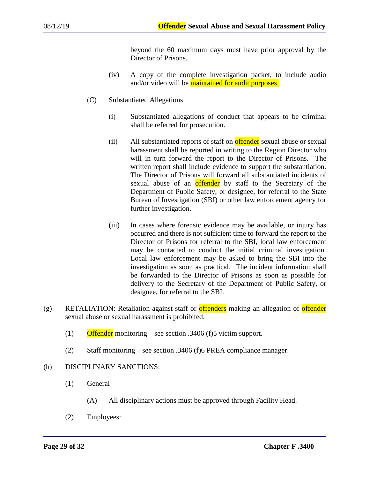beyond the 60 maximum days must have prior approval by the Director of Prisons.

- (iv) A copy of the complete investigation packet, to include audio and/or video will be maintained for audit purposes.
- (C) Substantiated Allegations
	- (i) Substantiated allegations of conduct that appears to be criminal shall be referred for prosecution.
	- (ii) All substantiated reports of staff on **offender** sexual abuse or sexual harassment shall be reported in writing to the Region Director who will in turn forward the report to the Director of Prisons. The written report shall include evidence to support the substantiation. The Director of Prisons will forward all substantiated incidents of sexual abuse of an **offender** by staff to the Secretary of the Department of Public Safety, or designee, for referral to the State Bureau of Investigation (SBI) or other law enforcement agency for further investigation.
	- (iii) In cases where forensic evidence may be available, or injury has occurred and there is not sufficient time to forward the report to the Director of Prisons for referral to the SBI, local law enforcement may be contacted to conduct the initial criminal investigation. Local law enforcement may be asked to bring the SBI into the investigation as soon as practical. The incident information shall be forwarded to the Director of Prisons as soon as possible for delivery to the Secretary of the Department of Public Safety, or designee, for referral to the SBI.
- (g) RETALIATION: Retaliation against staff or **offenders** making an allegation of **offender** sexual abuse or sexual harassment is prohibited.
	- (1) Offender monitoring see section .3406 (f)5 victim support.
	- (2) Staff monitoring see section .3406 (f)6 PREA compliance manager.

### (h) DISCIPLINARY SANCTIONS:

- (1) General
	- (A) All disciplinary actions must be approved through Facility Head.
- (2) Employees: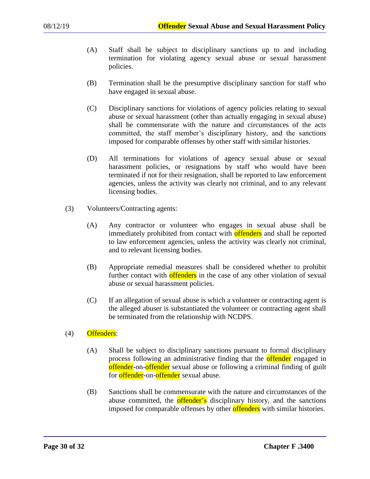- (A) Staff shall be subject to disciplinary sanctions up to and including termination for violating agency sexual abuse or sexual harassment policies.
- (B) Termination shall be the presumptive disciplinary sanction for staff who have engaged in sexual abuse.
- (C) Disciplinary sanctions for violations of agency policies relating to sexual abuse or sexual harassment (other than actually engaging in sexual abuse) shall be commensurate with the nature and circumstances of the acts committed, the staff member's disciplinary history, and the sanctions imposed for comparable offenses by other staff with similar histories.
- (D) All terminations for violations of agency sexual abuse or sexual harassment policies, or resignations by staff who would have been terminated if not for their resignation, shall be reported to law enforcement agencies, unless the activity was clearly not criminal, and to any relevant licensing bodies.
- (3) Volunteers/Contracting agents:
	- (A) Any contractor or volunteer who engages in sexual abuse shall be immediately prohibited from contact with **offenders** and shall be reported to law enforcement agencies, unless the activity was clearly not criminal, and to relevant licensing bodies.
	- (B) Appropriate remedial measures shall be considered whether to prohibit further contact with offenders in the case of any other violation of sexual abuse or sexual harassment policies.
	- (C) If an allegation of sexual abuse is which a volunteer or contracting agent is the alleged abuser is substantiated the volunteer or contracting agent shall be terminated from the relationship with NCDPS.
- (4) Offenders:
	- (A) Shall be subject to disciplinary sanctions pursuant to formal disciplinary process following an administrative finding that the **offender** engaged in offender-on-offender sexual abuse or following a criminal finding of guilt for **offender**-on-offender sexual abuse.
	- (B) Sanctions shall be commensurate with the nature and circumstances of the abuse committed, the **offender's** disciplinary history, and the sanctions imposed for comparable offenses by other offenders with similar histories.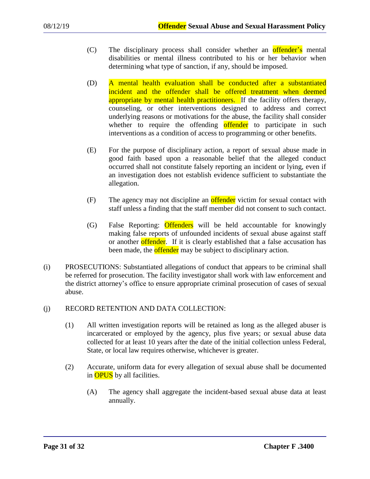- (C) The disciplinary process shall consider whether an offender's mental disabilities or mental illness contributed to his or her behavior when determining what type of sanction, if any, should be imposed.
- (D) A mental health evaluation shall be conducted after a substantiated incident and the offender shall be offered treatment when deemed appropriate by mental health practitioners. If the facility offers therapy, counseling, or other interventions designed to address and correct underlying reasons or motivations for the abuse, the facility shall consider whether to require the offending offender to participate in such interventions as a condition of access to programming or other benefits.
- (E) For the purpose of disciplinary action, a report of sexual abuse made in good faith based upon a reasonable belief that the alleged conduct occurred shall not constitute falsely reporting an incident or lying, even if an investigation does not establish evidence sufficient to substantiate the allegation.
- (F) The agency may not discipline an **offender** victim for sexual contact with staff unless a finding that the staff member did not consent to such contact.
- (G) False Reporting: Offenders will be held accountable for knowingly making false reports of unfounded incidents of sexual abuse against staff or another offender. If it is clearly established that a false accusation has been made, the **offender** may be subject to disciplinary action.
- (i) PROSECUTIONS: Substantiated allegations of conduct that appears to be criminal shall be referred for prosecution. The facility investigator shall work with law enforcement and the district attorney's office to ensure appropriate criminal prosecution of cases of sexual abuse.

# (j) RECORD RETENTION AND DATA COLLECTION:

- (1) All written investigation reports will be retained as long as the alleged abuser is incarcerated or employed by the agency, plus five years; or sexual abuse data collected for at least 10 years after the date of the initial collection unless Federal, State, or local law requires otherwise, whichever is greater.
- (2) Accurate, uniform data for every allegation of sexual abuse shall be documented in **OPUS** by all facilities.
	- (A) The agency shall aggregate the incident-based sexual abuse data at least annually.